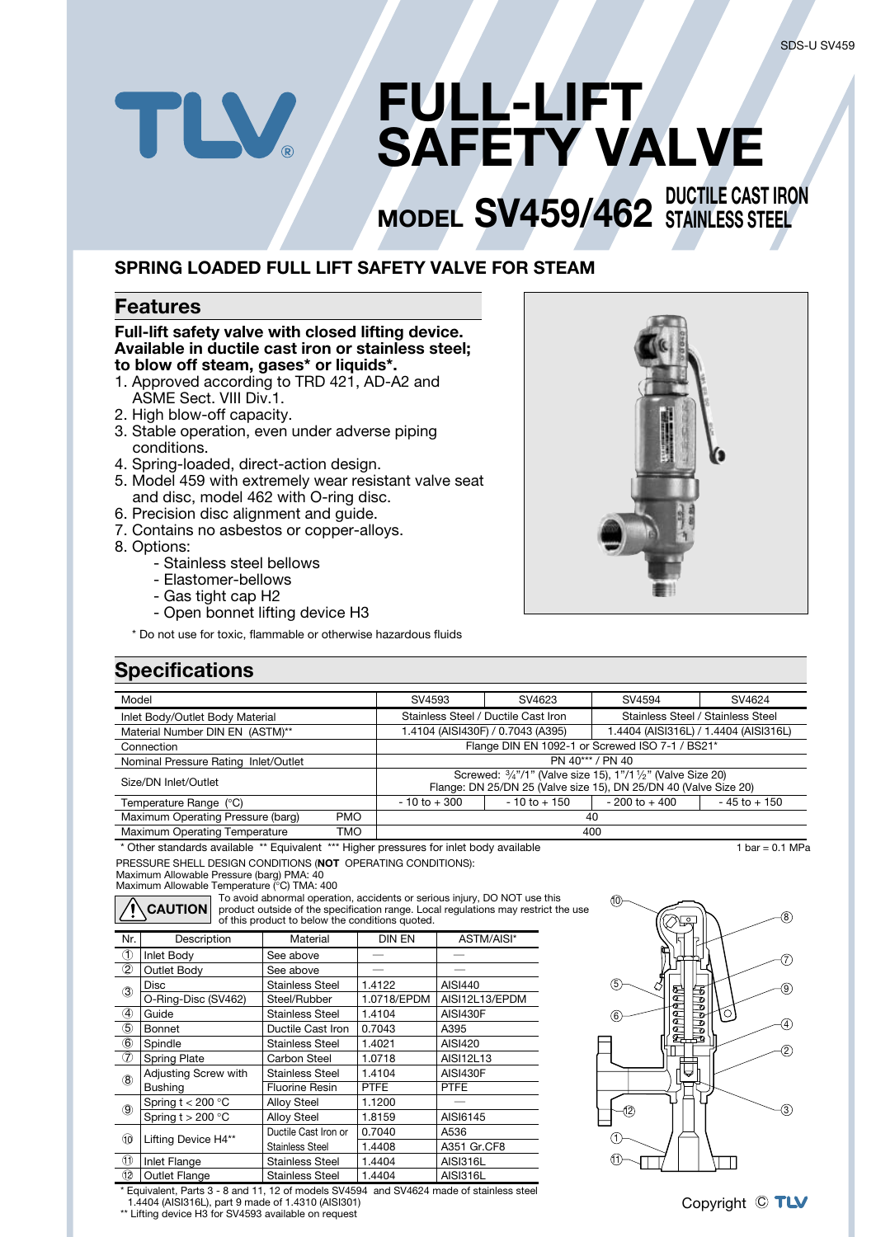# **FULL-LIFT**  $\mathbf{N}$ **SAFETY VALVE**

## **MODEL SV459/462** STAINLESS STEEL **STAINLESS STEEL**

## **SPRING LOADED FULL LIFT SAFETY VALVE FOR STEAM**

### **Features**

#### **Full-lift safety valve with closed lifting device. Available in ductile cast iron or stainless steel; to blow off steam, gases\* or liquids\*.**

- 1. Approved according to TRD 421, AD-A2 and ASME Sect. VIII Div.1.
- 2. High blow-off capacity.
- 3. Stable operation, even under adverse piping conditions.
- 4. Spring-loaded, direct-action design.
- 5. Model 459 with extremely wear resistant valve seat and disc, model 462 with O-ring disc.
- 6. Precision disc alignment and guide.
- 7. Contains no asbestos or copper-alloys.
- 8. Options:
	- Stainless steel bellows
	- Elastomer-bellows
	- Gas tight cap H2
	- Open bonnet lifting device H3

\* Do not use for toxic, flammable or otherwise hazardous fluids

### **Specifications**

| Model                                |            | SV4593                                                                                                                                                | SV4623                              | SV4594                                | SV4624          |  |  |  |  |  |
|--------------------------------------|------------|-------------------------------------------------------------------------------------------------------------------------------------------------------|-------------------------------------|---------------------------------------|-----------------|--|--|--|--|--|
| Inlet Body/Outlet Body Material      |            |                                                                                                                                                       | Stainless Steel / Ductile Cast Iron | Stainless Steel / Stainless Steel     |                 |  |  |  |  |  |
| Material Number DIN EN (ASTM)**      |            |                                                                                                                                                       | 1.4104 (AISI430F) / 0.7043 (A395)   | 1.4404 (AISI316L) / 1.4404 (AISI316L) |                 |  |  |  |  |  |
| Connection                           |            | Flange DIN EN 1092-1 or Screwed ISO 7-1 / BS21*                                                                                                       |                                     |                                       |                 |  |  |  |  |  |
| Nominal Pressure Rating Inlet/Outlet |            | PN 40*** / PN 40                                                                                                                                      |                                     |                                       |                 |  |  |  |  |  |
| Size/DN Inlet/Outlet                 |            | Screwed: $\frac{3}{4}$ "/1" (Valve size 15), 1"/1 $\frac{1}{2}$ " (Valve Size 20)<br>Flange: DN 25/DN 25 (Valve size 15), DN 25/DN 40 (Valve Size 20) |                                     |                                       |                 |  |  |  |  |  |
| Temperature Range (°C)               |            | $-10$ to $+300$                                                                                                                                       | $-10$ to $+150$                     | $-200$ to $+400$                      | $-45$ to $+150$ |  |  |  |  |  |
| Maximum Operating Pressure (barg)    | <b>PMO</b> | 40                                                                                                                                                    |                                     |                                       |                 |  |  |  |  |  |
| Maximum Operating Temperature        | TMO        | 400                                                                                                                                                   |                                     |                                       |                 |  |  |  |  |  |

PRESSURE SHELL DESIGN CONDITIONS (**NOT** OPERATING CONDITIONS): \* Other standards available \*\* Equivalent \*\*\* Higher pressures for inlet body available 1 bar = 0.1 MPa

Maximum Allowable Pressure (barg) PMA: 40 Maximum Allowable Temperature (°C) TMA: 400

**CAUTION**

To avoid abnormal operation, accidents or serious injury, DO NOT use this product outside of the specification range. Local regulations may restrict the use of this product to below the conditions quoted.

| Nr.                         | Description          | Material               | <b>DIN EN</b> | ASTM/AISI*      |
|-----------------------------|----------------------|------------------------|---------------|-----------------|
| $\circled{1}$               | Inlet Body           | See above              |               |                 |
| $^{\circledR}$              | Outlet Body          | See above              |               |                 |
| (3)                         | <b>Disc</b>          | <b>Stainless Steel</b> | 1.4122        | AISI440         |
|                             | O-Ring-Disc (SV462)  | Steel/Rubber           | 1.0718/EPDM   | AISI12L13/EPDM  |
| 4                           | Guide                | Stainless Steel        | 1.4104        | <b>AISI430F</b> |
| (5)                         | Bonnet               | Ductile Cast Iron      | 0.7043        | A395            |
| $_{\tiny{\textregistered}}$ | Spindle              | Stainless Steel        | 1.4021        | AISI420         |
| ℗                           | <b>Spring Plate</b>  | Carbon Steel           | 1.0718        | AISI12L13       |
| $\circledR$                 | Adjusting Screw with | Stainless Steel        | 1.4104        | AISI430F        |
|                             | <b>Bushing</b>       | <b>Fluorine Resin</b>  | <b>PTFE</b>   | <b>PTFE</b>     |
| $\circledS$                 | Spring $t < 200$ °C  | <b>Alloy Steel</b>     | 1.1200        |                 |
|                             | Spring $t > 200$ °C  | <b>Alloy Steel</b>     | 1.8159        | AISI6145        |
|                             |                      | Ductile Cast Iron or   | 0.7040        | A536            |
| 10                          | Lifting Device H4**  | Stainless Steel        | 1.4408        | A351 Gr.CF8     |
| $^{\tiny{\textregistered}}$ | Inlet Flange         | Stainless Steel        | 1.4404        | <b>AISI316L</b> |
| 12                          | Outlet Flange        | <b>Stainless Steel</b> | 1.4404        | <b>AISI316L</b> |



\* Equivalent, Parts 3 - 8 and 11, 12 of models SV4594 and SV4624 made of stainless steel 1.4404 (AISI316L), part 9 made of 1.4310 (AISI301)

\*\* Lifting device H3 for SV4593 available on request